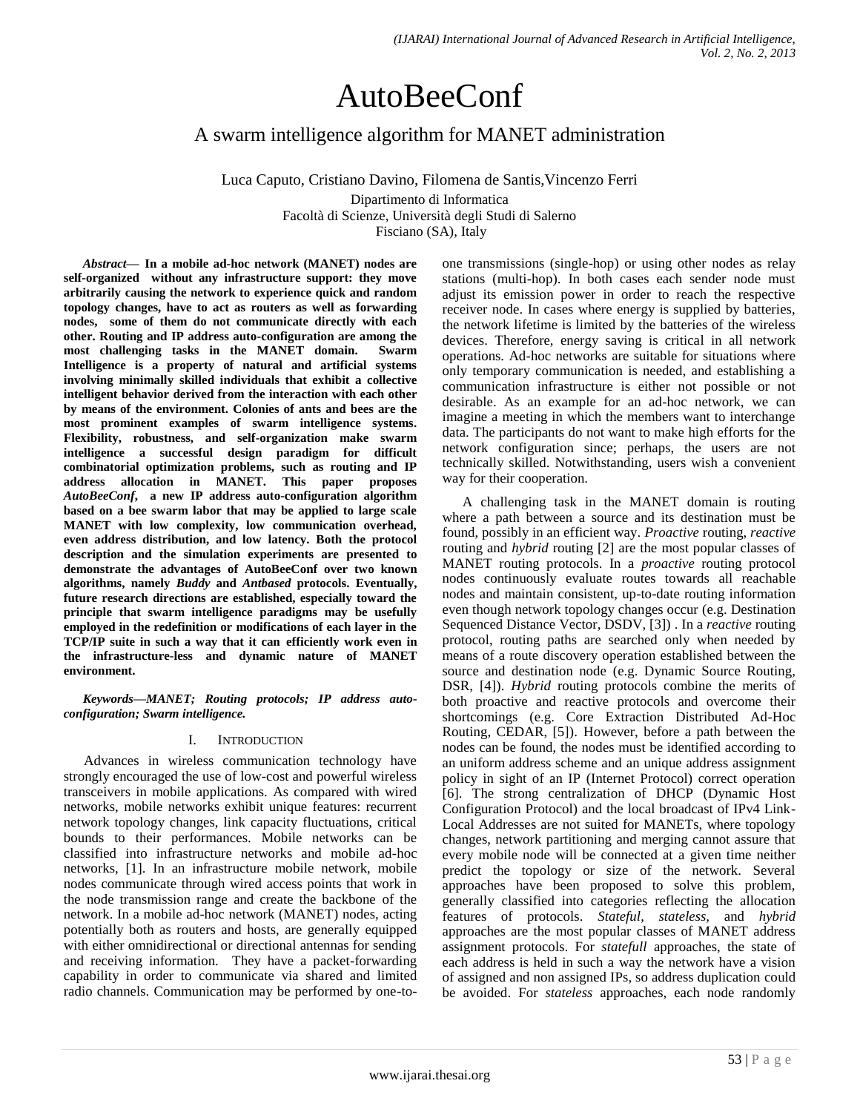# AutoBeeConf

# A swarm intelligence algorithm for MANET administration

Luca Caputo, Cristiano Davino, Filomena de Santis,Vincenzo Ferri Dipartimento di Informatica Facoltà di Scienze, Università degli Studi di Salerno Fisciano (SA), Italy

*Abstract***— In a mobile ad-hoc network (MANET) nodes are self-organized without any infrastructure support: they move arbitrarily causing the network to experience quick and random topology changes, have to act as routers as well as forwarding nodes, some of them do not communicate directly with each other. Routing and IP address auto-configuration are among the most challenging tasks in the MANET domain. Swarm Intelligence is a property of natural and artificial systems involving minimally skilled individuals that exhibit a collective intelligent behavior derived from the interaction with each other by means of the environment. Colonies of ants and bees are the most prominent examples of swarm intelligence systems. Flexibility, robustness, and self-organization make swarm intelligence a successful design paradigm for difficult combinatorial optimization problems, such as routing and IP address allocation in MANET. This paper proposes**  *AutoBeeConf***, a new IP address auto-configuration algorithm based on a bee swarm labor that may be applied to large scale MANET with low complexity, low communication overhead, even address distribution, and low latency. Both the protocol description and the simulation experiments are presented to demonstrate the advantages of AutoBeeConf over two known algorithms, namely** *Buddy* **and** *Antbased* **protocols. Eventually, future research directions are established, especially toward the principle that swarm intelligence paradigms may be usefully employed in the redefinition or modifications of each layer in the TCP/IP suite in such a way that it can efficiently work even in the infrastructure-less and dynamic nature of MANET environment.**

*Keywords—MANET; Routing protocols; IP address autoconfiguration; Swarm intelligence.*

# I. INTRODUCTION

Advances in wireless communication technology have strongly encouraged the use of low-cost and powerful wireless transceivers in mobile applications. As compared with wired networks, mobile networks exhibit unique features: recurrent network topology changes, link capacity fluctuations, critical bounds to their performances. Mobile networks can be classified into infrastructure networks and mobile ad-hoc networks, [1]. In an infrastructure mobile network, mobile nodes communicate through wired access points that work in the node transmission range and create the backbone of the network. In a mobile ad-hoc network (MANET) nodes, acting potentially both as routers and hosts, are generally equipped with either omnidirectional or directional antennas for sending and receiving information. They have a packet-forwarding capability in order to communicate via shared and limited radio channels. Communication may be performed by one-toone transmissions (single-hop) or using other nodes as relay stations (multi-hop). In both cases each sender node must adjust its emission power in order to reach the respective receiver node. In cases where energy is supplied by batteries, the network lifetime is limited by the batteries of the wireless devices. Therefore, energy saving is critical in all network operations. Ad-hoc networks are suitable for situations where only temporary communication is needed, and establishing a communication infrastructure is either not possible or not desirable. As an example for an ad-hoc network, we can imagine a meeting in which the members want to interchange data. The participants do not want to make high efforts for the network configuration since; perhaps, the users are not technically skilled. Notwithstanding, users wish a convenient way for their cooperation.

A challenging task in the MANET domain is routing where a path between a source and its destination must be found, possibly in an efficient way. *Proactive* routing, *reactive* routing and *hybrid* routing [2] are the most popular classes of MANET routing protocols. In a *proactive* routing protocol nodes continuously evaluate routes towards all reachable nodes and maintain consistent, up-to-date routing information even though network topology changes occur (e.g. Destination Sequenced Distance Vector, DSDV, [3]) . In a *reactive* routing protocol, routing paths are searched only when needed by means of a route discovery operation established between the source and destination node (e.g. Dynamic Source Routing, DSR, [4]). *Hybrid* routing protocols combine the merits of both proactive and reactive protocols and overcome their shortcomings (e.g. Core Extraction Distributed Ad-Hoc Routing, CEDAR, [5]). However, before a path between the nodes can be found, the nodes must be identified according to an uniform address scheme and an unique address assignment policy in sight of an IP (Internet Protocol) correct operation [6]. The strong centralization of DHCP (Dynamic Host Configuration Protocol) and the local broadcast of IPv4 Link-Local Addresses are not suited for MANETs, where topology changes, network partitioning and merging cannot assure that every mobile node will be connected at a given time neither predict the topology or size of the network. Several approaches have been proposed to solve this problem, generally classified into categories reflecting the allocation features of protocols. *Stateful*, *stateless,* and *hybrid* approaches are the most popular classes of MANET address assignment protocols. For *statefull* approaches, the state of each address is held in such a way the network have a vision of assigned and non assigned IPs, so address duplication could be avoided. For *stateless* approaches, each node randomly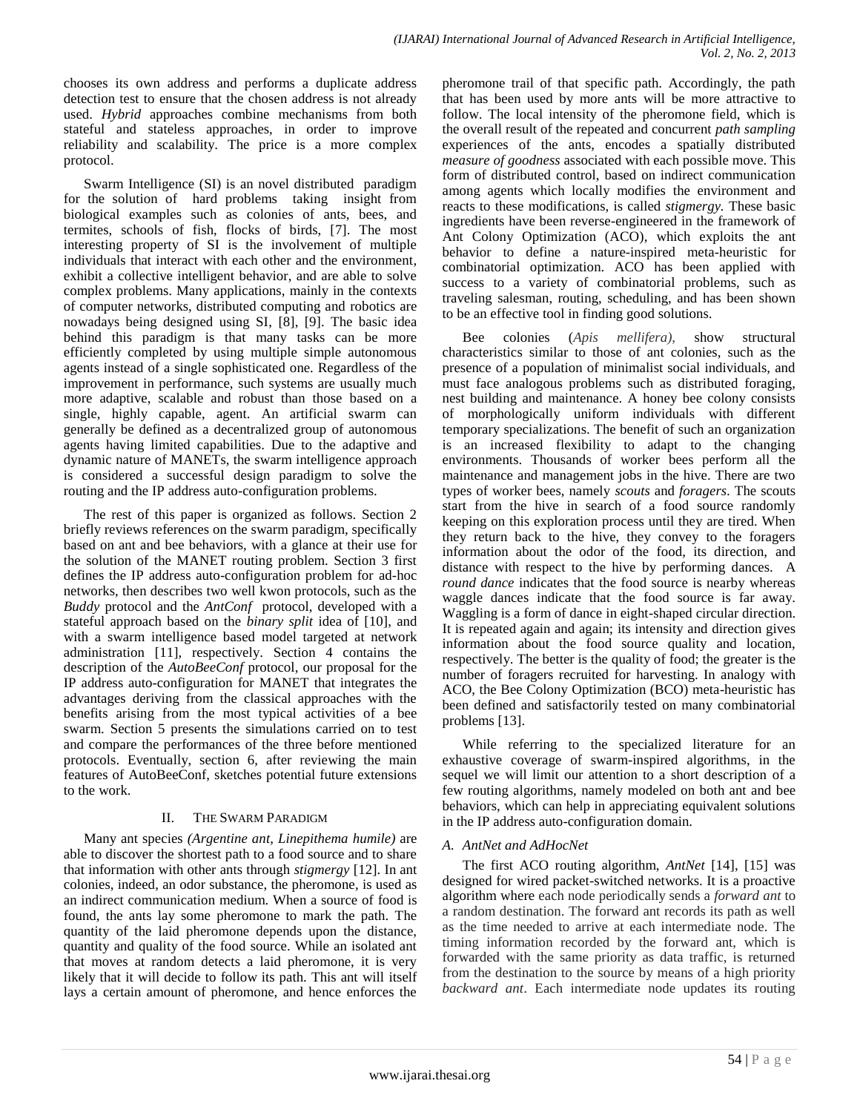chooses its own address and performs a duplicate address detection test to ensure that the chosen address is not already used. *Hybrid* approaches combine mechanisms from both stateful and stateless approaches, in order to improve reliability and scalability. The price is a more complex protocol.

Swarm Intelligence (SI) is an novel distributed paradigm for the solution of hard problems taking insight from biological examples such as colonies of ants, bees, and termites, schools of fish, flocks of birds, [7]. The most interesting property of SI is the involvement of multiple individuals that interact with each other and the environment, exhibit a collective intelligent behavior, and are able to solve complex problems. Many applications, mainly in the contexts of computer networks, distributed computing and robotics are nowadays being designed using SI, [8], [9]. The basic idea behind this paradigm is that many tasks can be more efficiently completed by using multiple simple autonomous agents instead of a single sophisticated one. Regardless of the improvement in performance, such systems are usually much more adaptive, scalable and robust than those based on a single, highly capable, agent. An artificial swarm can generally be defined as a decentralized group of autonomous agents having limited capabilities. Due to the adaptive and dynamic nature of MANETs, the swarm intelligence approach is considered a successful design paradigm to solve the routing and the IP address auto-configuration problems.

The rest of this paper is organized as follows. Section 2 briefly reviews references on the swarm paradigm, specifically based on ant and bee behaviors, with a glance at their use for the solution of the MANET routing problem. Section 3 first defines the IP address auto-configuration problem for ad-hoc networks, then describes two well kwon protocols, such as the *Buddy* protocol and the *AntConf* protocol, developed with a stateful approach based on the *binary split* idea of [10], and with a swarm intelligence based model targeted at network administration [11], respectively. Section 4 contains the description of the *AutoBeeConf* protocol, our proposal for the IP address auto-configuration for MANET that integrates the advantages deriving from the classical approaches with the benefits arising from the most typical activities of a bee swarm. Section 5 presents the simulations carried on to test and compare the performances of the three before mentioned protocols. Eventually, section 6, after reviewing the main features of AutoBeeConf, sketches potential future extensions to the work.

# II. THE SWARM PARADIGM

Many ant species *(Argentine ant, Linepithema humile)* are able to discover the shortest path to a food source and to share that information with other ants through *stigmergy* [12]. In ant colonies, indeed, an odor substance, the pheromone, is used as an indirect communication medium. When a source of food is found, the ants lay some pheromone to mark the path. The quantity of the laid pheromone depends upon the distance, quantity and quality of the food source. While an isolated ant that moves at random detects a laid pheromone, it is very likely that it will decide to follow its path. This ant will itself lays a certain amount of pheromone, and hence enforces the

pheromone trail of that specific path. Accordingly, the path that has been used by more ants will be more attractive to follow. The local intensity of the pheromone field, which is the overall result of the repeated and concurrent *path sampling*  experiences of the ants, encodes a spatially distributed *measure of goodness* associated with each possible move. This form of distributed control, based on indirect communication among agents which locally modifies the environment and reacts to these modifications, is called *stigmergy.* These basic ingredients have been reverse-engineered in the framework of Ant Colony Optimization (ACO), which exploits the ant behavior to define a nature-inspired meta-heuristic for combinatorial optimization. ACO has been applied with success to a variety of combinatorial problems, such as traveling salesman, routing, scheduling, and has been shown to be an effective tool in finding good solutions.

Bee colonies (*Apis mellifera),* show structural characteristics similar to those of ant colonies, such as the presence of a population of minimalist social individuals, and must face analogous problems such as distributed foraging, nest building and maintenance. A honey bee colony consists of morphologically uniform individuals with different temporary specializations. The benefit of such an organization is an increased flexibility to adapt to the changing environments. Thousands of worker bees perform all the maintenance and management jobs in the hive. There are two types of worker bees, namely *scouts* and *foragers*. The scouts start from the hive in search of a food source randomly keeping on this exploration process until they are tired. When they return back to the hive, they convey to the foragers information about the odor of the food, its direction, and distance with respect to the hive by performing dances. A *round dance* indicates that the food source is nearby whereas waggle dances indicate that the food source is far away. Waggling is a form of dance in eight-shaped circular direction. It is repeated again and again; its intensity and direction gives information about the food source quality and location, respectively. The better is the quality of food; the greater is the number of foragers recruited for harvesting. In analogy with ACO, the Bee Colony Optimization (BCO) meta-heuristic has been defined and satisfactorily tested on many combinatorial problems [13].

While referring to the specialized literature for an exhaustive coverage of swarm-inspired algorithms, in the sequel we will limit our attention to a short description of a few routing algorithms, namely modeled on both ant and bee behaviors, which can help in appreciating equivalent solutions in the IP address auto-configuration domain.

# *A. AntNet and AdHocNet*

The first ACO routing algorithm, *AntNet* [14], [15] was designed for wired packet-switched networks. It is a proactive algorithm where each node periodically sends a *forward ant* to a random destination. The forward ant records its path as well as the time needed to arrive at each intermediate node. The timing information recorded by the forward ant, which is forwarded with the same priority as data traffic, is returned from the destination to the source by means of a high priority *backward ant*. Each intermediate node updates its routing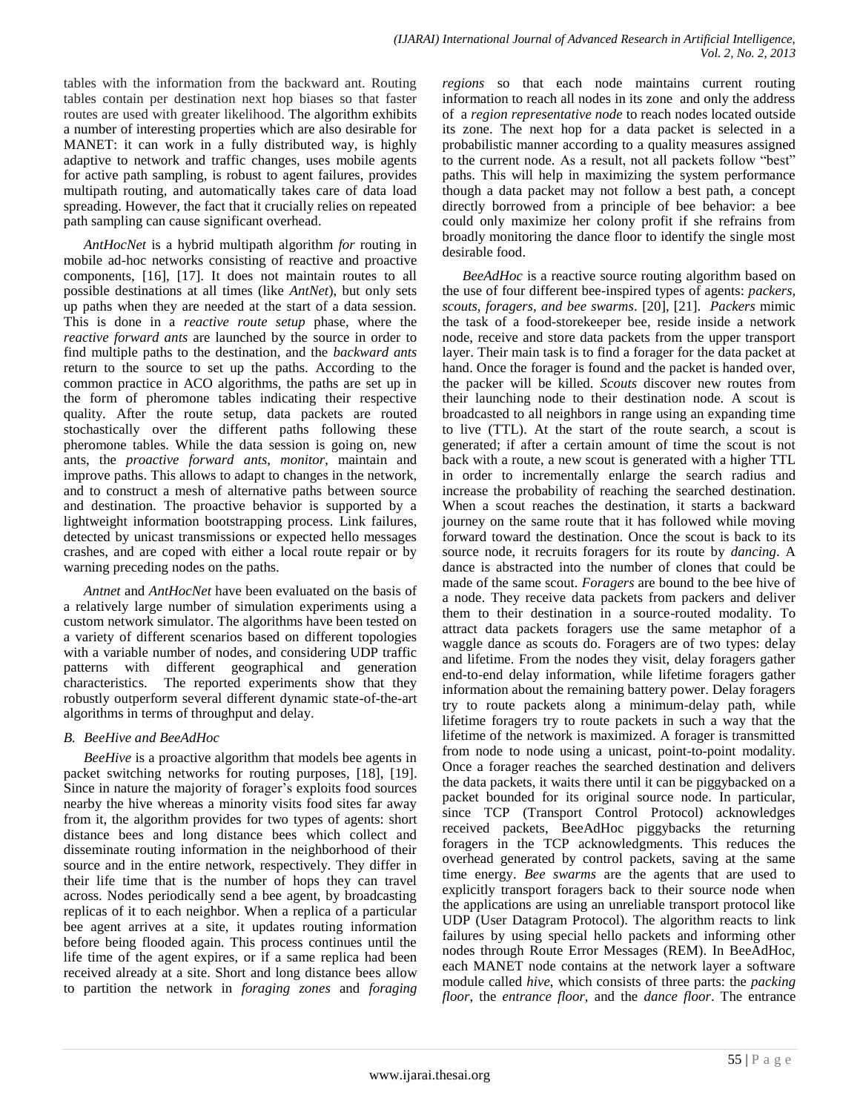tables with the information from the backward ant. Routing tables contain per destination next hop biases so that faster routes are used with greater likelihood. The algorithm exhibits a number of interesting properties which are also desirable for MANET: it can work in a fully distributed way, is highly adaptive to network and traffic changes, uses mobile agents for active path sampling, is robust to agent failures, provides multipath routing, and automatically takes care of data load spreading. However, the fact that it crucially relies on repeated path sampling can cause significant overhead.

*AntHocNet* is a hybrid multipath algorithm *for* routing in mobile ad-hoc networks consisting of reactive and proactive components, [16], [17]. It does not maintain routes to all possible destinations at all times (like *AntNet*), but only sets up paths when they are needed at the start of a data session. This is done in a *reactive route setup* phase, where the *reactive forward ants* are launched by the source in order to find multiple paths to the destination, and the *backward ants*  return to the source to set up the paths. According to the common practice in ACO algorithms, the paths are set up in the form of pheromone tables indicating their respective quality. After the route setup, data packets are routed stochastically over the different paths following these pheromone tables. While the data session is going on, new ants, the *proactive forward ants, monitor*, maintain and improve paths. This allows to adapt to changes in the network, and to construct a mesh of alternative paths between source and destination. The proactive behavior is supported by a lightweight information bootstrapping process. Link failures, detected by unicast transmissions or expected hello messages crashes, and are coped with either a local route repair or by warning preceding nodes on the paths.

*Antnet* and *AntHocNet* have been evaluated on the basis of a relatively large number of simulation experiments using a custom network simulator. The algorithms have been tested on a variety of different scenarios based on different topologies with a variable number of nodes, and considering UDP traffic patterns with different geographical and generation characteristics. The reported experiments show that they robustly outperform several different dynamic state-of-the-art algorithms in terms of throughput and delay.

# *B. BeeHive and BeeAdHoc*

*BeeHive* is a proactive algorithm that models bee agents in packet switching networks for routing purposes, [18], [19]. Since in nature the majority of forager's exploits food sources nearby the hive whereas a minority visits food sites far away from it, the algorithm provides for two types of agents: short distance bees and long distance bees which collect and disseminate routing information in the neighborhood of their source and in the entire network, respectively. They differ in their life time that is the number of hops they can travel across. Nodes periodically send a bee agent, by broadcasting replicas of it to each neighbor. When a replica of a particular bee agent arrives at a site, it updates routing information before being flooded again. This process continues until the life time of the agent expires, or if a same replica had been received already at a site. Short and long distance bees allow to partition the network in *foraging zones* and *foraging* 

*regions* so that each node maintains current routing information to reach all nodes in its zone and only the address of a *region representative node* to reach nodes located outside its zone. The next hop for a data packet is selected in a probabilistic manner according to a quality measures assigned to the current node. As a result, not all packets follow "best" paths. This will help in maximizing the system performance though a data packet may not follow a best path, a concept directly borrowed from a principle of bee behavior: a bee could only maximize her colony profit if she refrains from broadly monitoring the dance floor to identify the single most desirable food.

*BeeAdHoc* is a reactive source routing algorithm based on the use of four different bee-inspired types of agents: *packers, scouts, foragers, and bee swarms*. [20], [21]. *Packers* mimic the task of a food-storekeeper bee, reside inside a network node, receive and store data packets from the upper transport layer. Their main task is to find a forager for the data packet at hand. Once the forager is found and the packet is handed over, the packer will be killed. *Scouts* discover new routes from their launching node to their destination node. A scout is broadcasted to all neighbors in range using an expanding time to live (TTL). At the start of the route search, a scout is generated; if after a certain amount of time the scout is not back with a route, a new scout is generated with a higher TTL in order to incrementally enlarge the search radius and increase the probability of reaching the searched destination. When a scout reaches the destination, it starts a backward journey on the same route that it has followed while moving forward toward the destination. Once the scout is back to its source node, it recruits foragers for its route by *dancing*. A dance is abstracted into the number of clones that could be made of the same scout. *Foragers* are bound to the bee hive of a node. They receive data packets from packers and deliver them to their destination in a source-routed modality. To attract data packets foragers use the same metaphor of a waggle dance as scouts do. Foragers are of two types: delay and lifetime. From the nodes they visit, delay foragers gather end-to-end delay information, while lifetime foragers gather information about the remaining battery power. Delay foragers try to route packets along a minimum-delay path, while lifetime foragers try to route packets in such a way that the lifetime of the network is maximized. A forager is transmitted from node to node using a unicast, point-to-point modality. Once a forager reaches the searched destination and delivers the data packets, it waits there until it can be piggybacked on a packet bounded for its original source node. In particular, since TCP (Transport Control Protocol) acknowledges received packets, BeeAdHoc piggybacks the returning foragers in the TCP acknowledgments. This reduces the overhead generated by control packets, saving at the same time energy. *Bee swarms* are the agents that are used to explicitly transport foragers back to their source node when the applications are using an unreliable transport protocol like UDP (User Datagram Protocol). The algorithm reacts to link failures by using special hello packets and informing other nodes through Route Error Messages (REM). In BeeAdHoc, each MANET node contains at the network layer a software module called *hive*, which consists of three parts: the *packing floor*, the *entrance floor*, and the *dance floor*. The entrance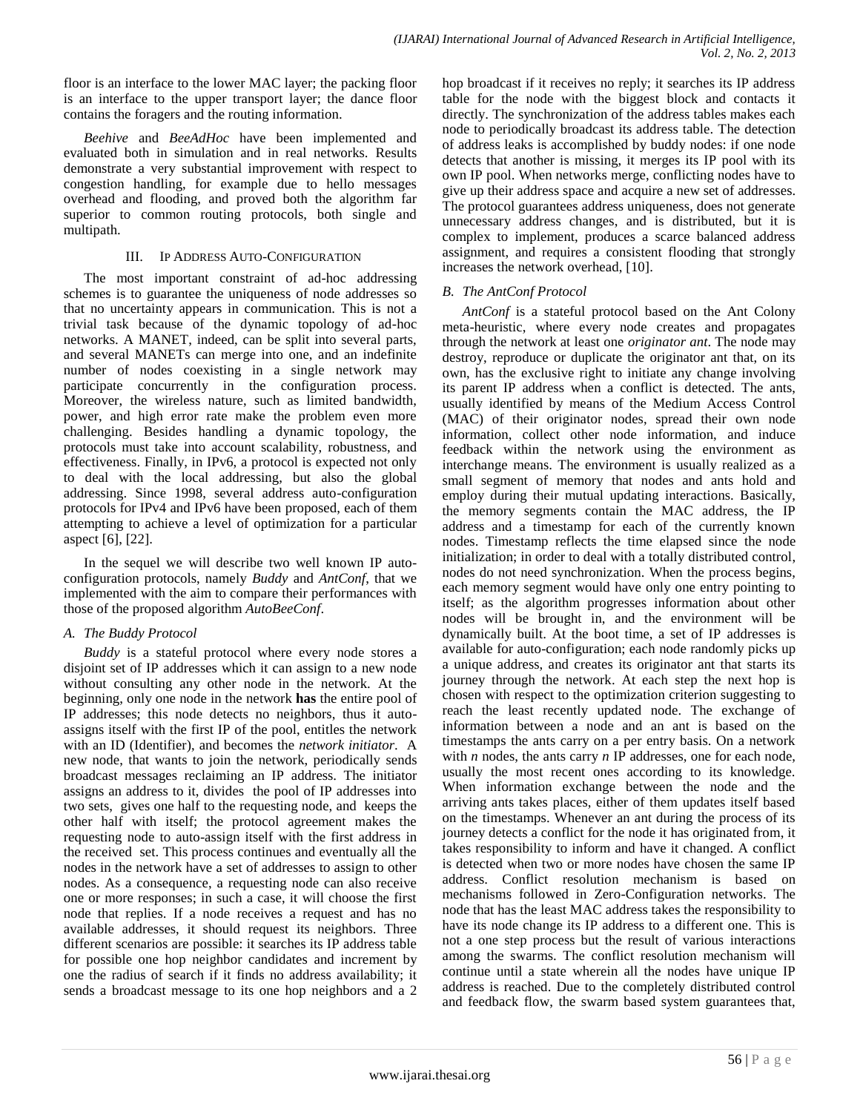floor is an interface to the lower MAC layer; the packing floor is an interface to the upper transport layer; the dance floor contains the foragers and the routing information.

*Beehive* and *BeeAdHoc* have been implemented and evaluated both in simulation and in real networks. Results demonstrate a very substantial improvement with respect to congestion handling, for example due to hello messages overhead and flooding, and proved both the algorithm far superior to common routing protocols, both single and multipath.

#### III. IP ADDRESS AUTO-CONFIGURATION

The most important constraint of ad-hoc addressing schemes is to guarantee the uniqueness of node addresses so that no uncertainty appears in communication. This is not a trivial task because of the dynamic topology of ad-hoc networks. A MANET, indeed, can be split into several parts, and several MANETs can merge into one, and an indefinite number of nodes coexisting in a single network may participate concurrently in the configuration process. Moreover, the wireless nature, such as limited bandwidth, power, and high error rate make the problem even more challenging. Besides handling a dynamic topology, the protocols must take into account scalability, robustness, and effectiveness. Finally, in IPv6, a protocol is expected not only to deal with the local addressing, but also the global addressing. Since 1998, several address auto-configuration protocols for IPv4 and IPv6 have been proposed, each of them attempting to achieve a level of optimization for a particular aspect [6], [22].

In the sequel we will describe two well known IP autoconfiguration protocols, namely *Buddy* and *AntConf*, that we implemented with the aim to compare their performances with those of the proposed algorithm *AutoBeeConf*.

#### *A. The Buddy Protocol*

*Buddy* is a stateful protocol where every node stores a disjoint set of IP addresses which it can assign to a new node without consulting any other node in the network. At the beginning, only one node in the network **has** the entire pool of IP addresses; this node detects no neighbors, thus it autoassigns itself with the first IP of the pool, entitles the network with an ID (Identifier), and becomes the *network initiator*. A new node, that wants to join the network, periodically sends broadcast messages reclaiming an IP address. The initiator assigns an address to it, divides the pool of IP addresses into two sets, gives one half to the requesting node, and keeps the other half with itself; the protocol agreement makes the requesting node to auto-assign itself with the first address in the received set. This process continues and eventually all the nodes in the network have a set of addresses to assign to other nodes. As a consequence, a requesting node can also receive one or more responses; in such a case, it will choose the first node that replies. If a node receives a request and has no available addresses, it should request its neighbors. Three different scenarios are possible: it searches its IP address table for possible one hop neighbor candidates and increment by one the radius of search if it finds no address availability; it sends a broadcast message to its one hop neighbors and a 2

hop broadcast if it receives no reply; it searches its IP address table for the node with the biggest block and contacts it directly. The synchronization of the address tables makes each node to periodically broadcast its address table. The detection of address leaks is accomplished by buddy nodes: if one node detects that another is missing, it merges its IP pool with its own IP pool. When networks merge, conflicting nodes have to give up their address space and acquire a new set of addresses. The protocol guarantees address uniqueness, does not generate unnecessary address changes, and is distributed, but it is complex to implement, produces a scarce balanced address assignment, and requires a consistent flooding that strongly increases the network overhead, [10].

# *B. The AntConf Protocol*

*AntConf* is a stateful protocol based on the Ant Colony meta-heuristic, where every node creates and propagates through the network at least one *originator ant*. The node may destroy, reproduce or duplicate the originator ant that, on its own, has the exclusive right to initiate any change involving its parent IP address when a conflict is detected. The ants, usually identified by means of the Medium Access Control (MAC) of their originator nodes, spread their own node information, collect other node information, and induce feedback within the network using the environment as interchange means. The environment is usually realized as a small segment of memory that nodes and ants hold and employ during their mutual updating interactions. Basically, the memory segments contain the MAC address, the IP address and a timestamp for each of the currently known nodes. Timestamp reflects the time elapsed since the node initialization; in order to deal with a totally distributed control, nodes do not need synchronization. When the process begins, each memory segment would have only one entry pointing to itself; as the algorithm progresses information about other nodes will be brought in, and the environment will be dynamically built. At the boot time, a set of IP addresses is available for auto-configuration; each node randomly picks up a unique address, and creates its originator ant that starts its journey through the network. At each step the next hop is chosen with respect to the optimization criterion suggesting to reach the least recently updated node. The exchange of information between a node and an ant is based on the timestamps the ants carry on a per entry basis. On a network with *n* nodes, the ants carry *n* IP addresses, one for each node, usually the most recent ones according to its knowledge. When information exchange between the node and the arriving ants takes places, either of them updates itself based on the timestamps. Whenever an ant during the process of its journey detects a conflict for the node it has originated from, it takes responsibility to inform and have it changed. A conflict is detected when two or more nodes have chosen the same IP address. Conflict resolution mechanism is based on mechanisms followed in Zero-Configuration networks. The node that has the least MAC address takes the responsibility to have its node change its IP address to a different one. This is not a one step process but the result of various interactions among the swarms. The conflict resolution mechanism will continue until a state wherein all the nodes have unique IP address is reached. Due to the completely distributed control and feedback flow, the swarm based system guarantees that,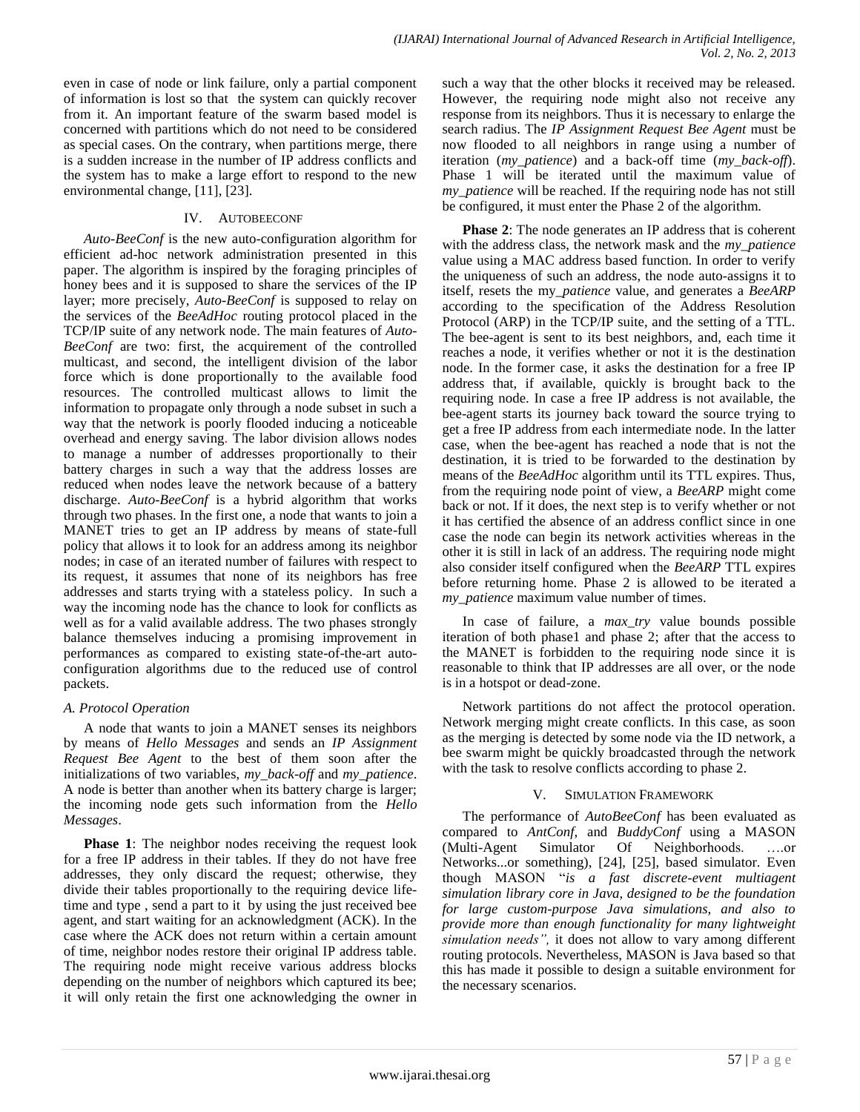even in case of node or link failure, only a partial component of information is lost so that the system can quickly recover from it. An important feature of the swarm based model is concerned with partitions which do not need to be considered as special cases. On the contrary, when partitions merge, there is a sudden increase in the number of IP address conflicts and the system has to make a large effort to respond to the new environmental change, [11], [23].

### IV. AUTOBEECONF

*Auto-BeeConf* is the new auto-configuration algorithm for efficient ad-hoc network administration presented in this paper. The algorithm is inspired by the foraging principles of honey bees and it is supposed to share the services of the IP layer; more precisely, *Auto-BeeConf* is supposed to relay on the services of the *BeeAdHoc* routing protocol placed in the TCP/IP suite of any network node. The main features of *Auto-BeeConf* are two: first, the acquirement of the controlled multicast, and second, the intelligent division of the labor force which is done proportionally to the available food resources. The controlled multicast allows to limit the information to propagate only through a node subset in such a way that the network is poorly flooded inducing a noticeable overhead and energy saving. The labor division allows nodes to manage a number of addresses proportionally to their battery charges in such a way that the address losses are reduced when nodes leave the network because of a battery discharge. *Auto-BeeConf* is a hybrid algorithm that works through two phases. In the first one, a node that wants to join a MANET tries to get an IP address by means of state-full policy that allows it to look for an address among its neighbor nodes; in case of an iterated number of failures with respect to its request, it assumes that none of its neighbors has free addresses and starts trying with a stateless policy. In such a way the incoming node has the chance to look for conflicts as well as for a valid available address. The two phases strongly balance themselves inducing a promising improvement in performances as compared to existing state-of-the-art autoconfiguration algorithms due to the reduced use of control packets.

# *A. Protocol Operation*

A node that wants to join a MANET senses its neighbors by means of *Hello Messages* and sends an *IP Assignment Request Bee Agent* to the best of them soon after the initializations of two variables, *my\_back-off* and *my\_patience*. A node is better than another when its battery charge is larger; the incoming node gets such information from the *Hello Messages*.

**Phase 1**: The neighbor nodes receiving the request look for a free IP address in their tables. If they do not have free addresses, they only discard the request; otherwise, they divide their tables proportionally to the requiring device lifetime and type , send a part to it by using the just received bee agent, and start waiting for an acknowledgment (ACK). In the case where the ACK does not return within a certain amount of time, neighbor nodes restore their original IP address table. The requiring node might receive various address blocks depending on the number of neighbors which captured its bee; it will only retain the first one acknowledging the owner in such a way that the other blocks it received may be released. However, the requiring node might also not receive any response from its neighbors. Thus it is necessary to enlarge the search radius. The *IP Assignment Request Bee Agent* must be now flooded to all neighbors in range using a number of iteration (*my\_patience*) and a back-off time (*my\_back-off*). Phase 1 will be iterated until the maximum value of *my\_patience* will be reached. If the requiring node has not still be configured, it must enter the Phase 2 of the algorithm.

**Phase 2**: The node generates an IP address that is coherent with the address class, the network mask and the *my\_patience* value using a MAC address based function. In order to verify the uniqueness of such an address, the node auto-assigns it to itself, resets the my*\_patience* value, and generates a *BeeARP* according to the specification of the Address Resolution Protocol (ARP) in the TCP/IP suite, and the setting of a TTL. The bee-agent is sent to its best neighbors, and, each time it reaches a node, it verifies whether or not it is the destination node. In the former case, it asks the destination for a free IP address that, if available, quickly is brought back to the requiring node. In case a free IP address is not available, the bee-agent starts its journey back toward the source trying to get a free IP address from each intermediate node. In the latter case, when the bee-agent has reached a node that is not the destination, it is tried to be forwarded to the destination by means of the *BeeAdHoc* algorithm until its TTL expires. Thus, from the requiring node point of view, a *BeeARP* might come back or not. If it does, the next step is to verify whether or not it has certified the absence of an address conflict since in one case the node can begin its network activities whereas in the other it is still in lack of an address. The requiring node might also consider itself configured when the *BeeARP* TTL expires before returning home. Phase 2 is allowed to be iterated a *my\_patience* maximum value number of times.

In case of failure, a *max\_try* value bounds possible iteration of both phase1 and phase 2; after that the access to the MANET is forbidden to the requiring node since it is reasonable to think that IP addresses are all over, or the node is in a hotspot or dead-zone.

Network partitions do not affect the protocol operation. Network merging might create conflicts. In this case, as soon as the merging is detected by some node via the ID network, a bee swarm might be quickly broadcasted through the network with the task to resolve conflicts according to phase 2.

# V. SIMULATION FRAMEWORK

The performance of *AutoBeeConf* has been evaluated as compared to *AntConf*, and *BuddyConf* using a MASON (Multi-Agent Simulator Of Neighborhoods. ….or Networks...or something), [24], [25], based simulator. Even though MASON "*is a fast discrete-event multiagent simulation library core in Java, designed to be the foundation for large custom-purpose Java simulations, and also to provide more than enough functionality for many lightweight simulation needs",* it does not allow to vary among different routing protocols. Nevertheless, MASON is Java based so that this has made it possible to design a suitable environment for the necessary scenarios.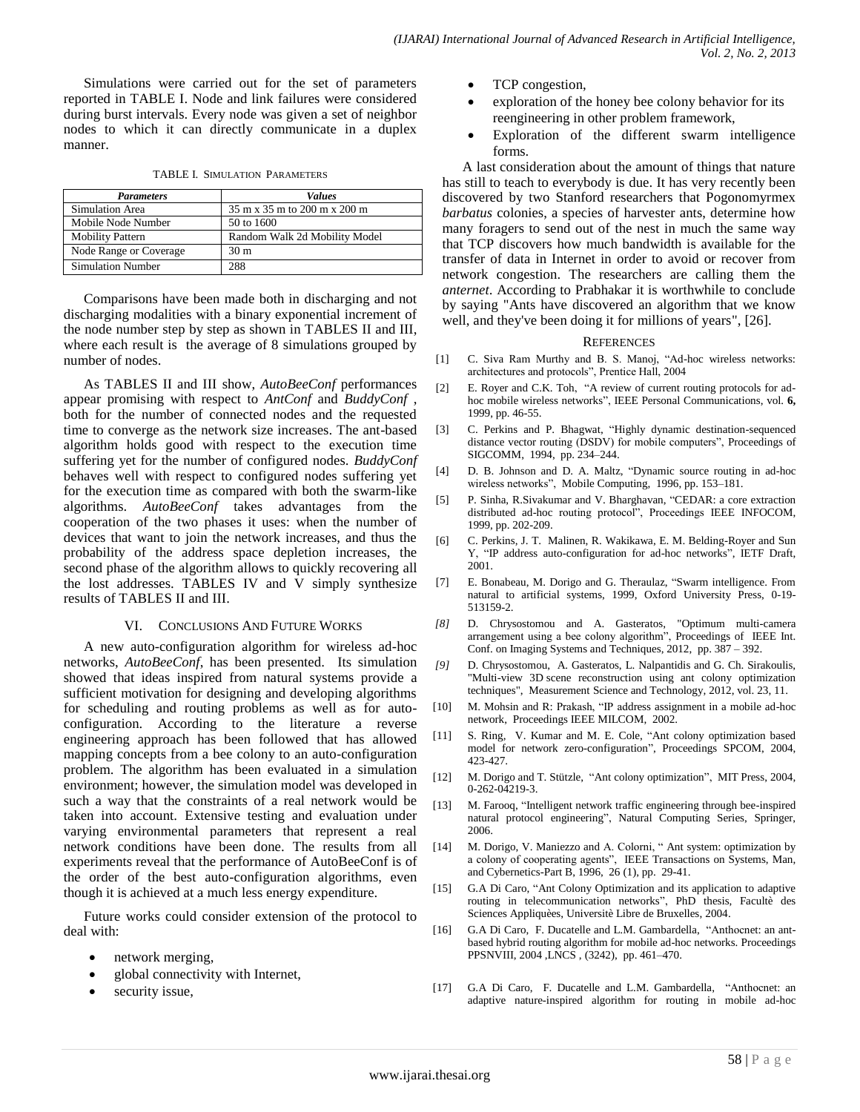Simulations were carried out for the set of parameters reported in TABLE I. Node and link failures were considered during burst intervals. Every node was given a set of neighbor nodes to which it can directly communicate in a duplex manner.

| <b>TABLE I. SIMULATION PARAMETERS</b> |
|---------------------------------------|
|                                       |

| <b>Parameters</b>        | <b>Values</b>                 |
|--------------------------|-------------------------------|
| Simulation Area          | 35 m x 35 m to 200 m x 200 m  |
| Mobile Node Number       | 50 to 1600                    |
| <b>Mobility Pattern</b>  | Random Walk 2d Mobility Model |
| Node Range or Coverage   | 30 <sub>m</sub>               |
| <b>Simulation Number</b> | 288                           |

Comparisons have been made both in discharging and not discharging modalities with a binary exponential increment of the node number step by step as shown in TABLES II and III, where each result is the average of 8 simulations grouped by number of nodes.

As TABLES II and III show, *AutoBeeConf* performances appear promising with respect to *AntConf* and *BuddyConf* , both for the number of connected nodes and the requested time to converge as the network size increases. The ant-based algorithm holds good with respect to the execution time suffering yet for the number of configured nodes. *BuddyConf* behaves well with respect to configured nodes suffering yet for the execution time as compared with both the swarm-like algorithms. *AutoBeeConf* takes advantages from the cooperation of the two phases it uses: when the number of devices that want to join the network increases, and thus the probability of the address space depletion increases, the second phase of the algorithm allows to quickly recovering all the lost addresses. TABLES IV and V simply synthesize results of TABLES II and III.

#### VI. CONCLUSIONS AND FUTURE WORKS

A new auto-configuration algorithm for wireless ad-hoc networks, *AutoBeeConf*, has been presented. Its simulation showed that ideas inspired from natural systems provide a sufficient motivation for designing and developing algorithms for scheduling and routing problems as well as for autoconfiguration. According to the literature a reverse engineering approach has been followed that has allowed mapping concepts from a bee colony to an auto-configuration problem. The algorithm has been evaluated in a simulation environment; however, the simulation model was developed in such a way that the constraints of a real network would be taken into account. Extensive testing and evaluation under varying environmental parameters that represent a real network conditions have been done. The results from all experiments reveal that the performance of AutoBeeConf is of the order of the best auto-configuration algorithms, even though it is achieved at a much less energy expenditure.

Future works could consider extension of the protocol to deal with:

- network merging,
- global connectivity with Internet,
- security issue,
- TCP congestion,
- exploration of the honey bee colony behavior for its reengineering in other problem framework,
- Exploration of the different swarm intelligence forms.

A last consideration about the amount of things that nature has still to teach to everybody is due. It has very recently been discovered by two Stanford researchers that Pogonomyrmex *barbatus* colonies, a species of harvester ants, determine how many foragers to send out of the nest in much the same way that TCP discovers how much bandwidth is available for the transfer of data in Internet in order to avoid or recover from network congestion. The researchers are calling them the *anternet*. According to Prabhakar it is worthwhile to conclude by saying "Ants have discovered an algorithm that we know well, and they've been doing it for millions of years", [26].

#### **REFERENCES**

- [1] C. Siva Ram Murthy and B. S. Manoj, "Ad-hoc wireless networks: architectures and protocols", Prentice Hall, 2004
- [2] E. Royer and C.K. Toh, "A review of current routing protocols for adhoc mobile wireless networks", IEEE Personal Communications, vol. **6,**  1999, pp. 46-55.
- [3] C. Perkins and P. Bhagwat, "Highly dynamic destination-sequenced distance vector routing (DSDV) for mobile computers", Proceedings of SIGCOMM, 1994, pp. 234–244.
- [4] D. B. Johnson and D. A. Maltz, "Dynamic source routing in ad-hoc wireless networks", Mobile Computing, 1996, pp. 153–181.
- [5] P. Sinha, R.Sivakumar and V. Bharghavan, "CEDAR: a core extraction distributed ad-hoc routing protocol", Proceedings IEEE INFOCOM, 1999, pp. 202-209.
- [6] C. Perkins, J. T. Malinen, R. Wakikawa, E. M. Belding-Royer and Sun Y, "IP address auto-configuration for ad-hoc networks", IETF Draft, 2001.
- [7] E. Bonabeau, M. Dorigo and G. Theraulaz, "Swarm intelligence. From natural to artificial systems, 1999, Oxford University Press, 0-19- 513159-2.
- *[8]* D. Chrysostomou and A. Gasteratos, "Optimum multi-camera arrangement using a bee colony algorithm", Proceedings of IEEE Int. Conf. on Imaging Systems and Techniques, 2012, pp. 387 – 392.
- *[9]* D. Chrysostomou, A. Gasteratos, L. Nalpantidis and G. Ch. Sirakoulis, "Multi-view 3D scene reconstruction using ant colony optimization techniques", Measurement Science and Technology*,* 2012, vol. 23, 11.
- [10] M. Mohsin and R: Prakash, "IP address assignment in a mobile ad-hoc network, Proceedings IEEE MILCOM, 2002.
- [11] S. Ring, V. Kumar and M. E. Cole, "Ant colony optimization based model for network zero-configuration", Proceedings SPCOM, 2004, 423-427.
- [12] M. Dorigo and T. Stützle, "Ant colony optimization", MIT Press, 2004, 0-262-04219-3.
- [13] M. Farooq, "Intelligent network traffic engineering through bee-inspired natural protocol engineering", Natural Computing Series, Springer, 2006.
- [14] M. Dorigo, V. Maniezzo and A. Colorni, " Ant system: optimization by a colony of cooperating agents", IEEE Transactions on Systems, Man, and Cybernetics-Part B, 1996, 26 (1), pp. 29-41.
- [15] G.A Di Caro, "Ant Colony Optimization and its application to adaptive routing in telecommunication networks", PhD thesis, Facultè des Sciences Appliquèes, Universitè Libre de Bruxelles, 2004.
- [16] G.A Di Caro, F. Ducatelle and L.M. Gambardella, "Anthocnet: an antbased hybrid routing algorithm for mobile ad-hoc networks. Proceedings PPSNVIII, 2004 ,LNCS , (3242), pp. 461–470.
- [17] G.A Di Caro, F. Ducatelle and L.M. Gambardella, "Anthocnet: an adaptive nature-inspired algorithm for routing in mobile ad-hoc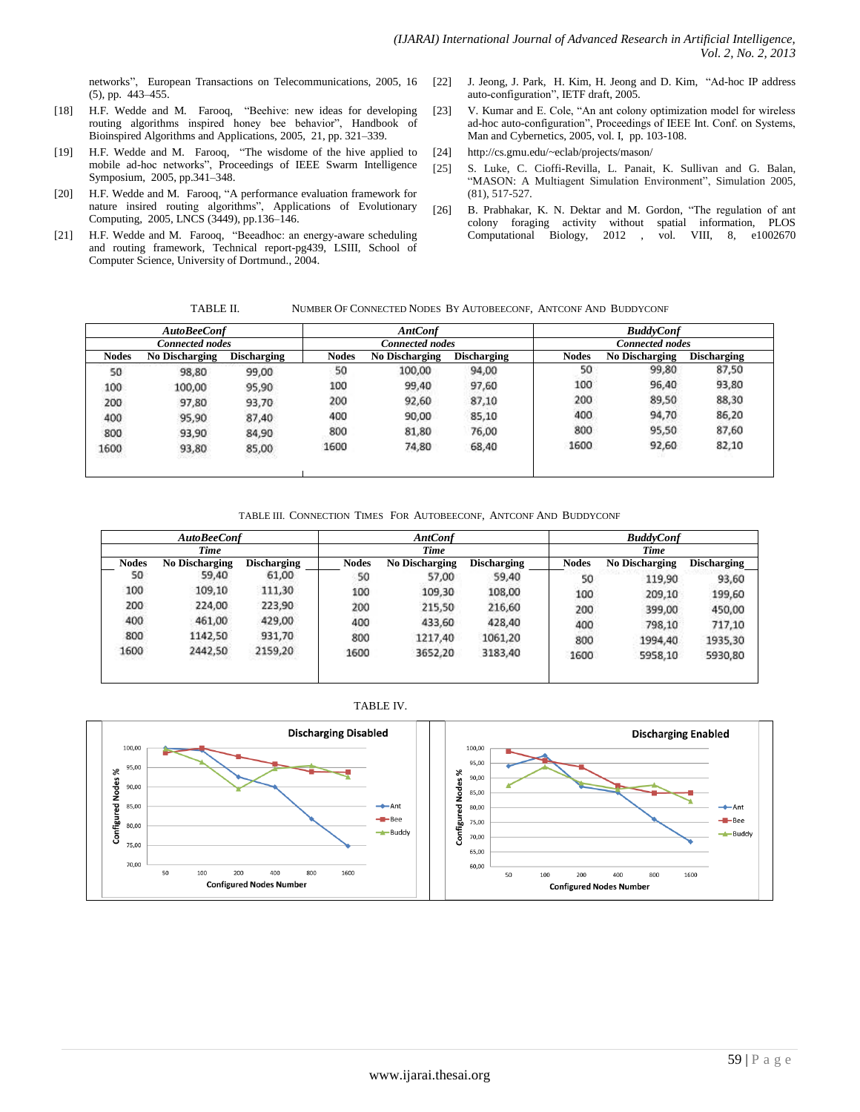networks", European Transactions on Telecommunications, 2005, 16 (5), pp. 443–455.

- [18] H.F. Wedde and M*.* Farooq, "Beehive: new ideas for developing routing algorithms inspired honey bee behavior", Handbook of Bioinspired Algorithms and Applications, 2005, 21, pp. 321–339.
- [19] H.F. Wedde and M*.* Farooq, "The wisdome of the hive applied to mobile ad-hoc networks", Proceedings of IEEE Swarm Intelligence Symposium, 2005, pp.341–348.
- [20] H.F. Wedde and M*.* Farooq, "A performance evaluation framework for nature insired routing algorithms", Applications of Evolutionary Computing, 2005, LNCS (3449), pp.136–146.
- [21] H.F. Wedde and M*.* Farooq, "Beeadhoc: an energy-aware scheduling and routing framework, Technical report-pg439, LSIII, School of Computer Science, University of Dortmund., 2004.
- [22] J. Jeong, J. Park, H. Kim, H. Jeong and D. Kim, "Ad-hoc IP address auto-configuration", IETF draft, 2005.
- [23] V. Kumar and E. Cole, "An ant colony optimization model for wireless ad-hoc auto-configuration", Proceedings of IEEE Int. Conf. on Systems, Man and Cybernetics, 2005, vol. I, pp. 103-108.
- [24] http://cs.gmu.edu/~eclab/projects/mason/
- [25] S. Luke, C. Cioffi-Revilla, L. Panait, K. Sullivan and G. Balan, "MASON: A Multiagent Simulation Environment", Simulation 2005, (81), 517-527.
- [26] B. Prabhakar, K. N. Dektar and M. Gordon, "The regulation of ant colony foraging activity without spatial information, PLOS Computational Biology, 2012 , vol. VIII, 8, e1002670

| TABLE II. | NUMBER OF CONNECTED NODES BY AUTOBEECONF. ANTCONF AND BUDDYCONF |  |
|-----------|-----------------------------------------------------------------|--|
|           |                                                                 |  |

| <b>AutoBeeConf</b> |                       | <b>AntConf</b>                            |              |                | <b>BuddyConf</b>   |              |                |                    |
|--------------------|-----------------------|-------------------------------------------|--------------|----------------|--------------------|--------------|----------------|--------------------|
|                    | Connected nodes       | Connected nodes<br><b>Connected nodes</b> |              |                |                    |              |                |                    |
| <b>Nodes</b>       | <b>No Discharging</b> | <b>Discharging</b>                        | <b>Nodes</b> | No Discharging | <b>Discharging</b> | <b>Nodes</b> | No Discharging | <b>Discharging</b> |
| 50                 | 98,80                 | 99,00                                     | 50           | 100,00         | 94,00              | 50           | 99,80          | 87,50              |
| 100                | 100,00                | 95,90                                     | 100          | 99,40          | 97,60              | 100          | 96,40          | 93,80              |
| 200                | 97,80                 | 93,70                                     | 200          | 92,60          | 87,10              | 200          | 89,50          | 88,30              |
| 400                | 95,90                 | 87,40                                     | 400          | 90,00          | 85,10              | 400          | 94,70          | 86,20              |
| 800                | 93,90                 | 84,90                                     | 800          | 81,80          | 76,00              | 800          | 95,50          | 87,60              |
| 1600<br>------     | 93,80<br>85000000000  | 85,00<br>969 Y.H                          | 1600         | 74,80          | 68,40              | 1600         | 92,60          | 82,10              |
|                    |                       |                                           |              |                |                    |              |                |                    |

TABLE III. CONNECTION TIMES FOR AUTOBEECONF, ANTCONF AND BUDDYCONF

| <b>AutoBeeConf</b> |                       |                    | <b>AntConf</b> |                       |                    | <b>BuddyConf</b> |                |                    |
|--------------------|-----------------------|--------------------|----------------|-----------------------|--------------------|------------------|----------------|--------------------|
| Time               |                       |                    | Time           |                       |                    | Time             |                |                    |
| <b>Nodes</b>       | <b>No Discharging</b> | <b>Discharging</b> | <b>Nodes</b>   | <b>No Discharging</b> | <b>Discharging</b> | <b>Nodes</b>     | No Discharging | <b>Discharging</b> |
| 50                 | 59,40                 | 61,00              | 50             | 57,00                 | 59,40              | 50               | 119,90         | 93,60              |
| 100                | 109,10                | 111,30             | 100            | 109,30                | 108,00             | 100              | 209,10         | 199,60             |
| 200                | 224,00                | 223,90             | 200            | 215,50                | 216,60             | 200              | 399,00         | 450,00             |
| 400                | 461,00                | 429,00             | 400            | 433,60                | 428,40             | 400              | 798,10         | 717,10             |
| 800                | 1142,50               | 931,70             | 800            | 1217,40               | 1061,20            | 800              | 1994,40        | 1935,30            |
| 1600               | 2442,50               | 2159,20            | 1600           | 3652,20               | 3183,40            | 1600             | 5958,10        | 5930,80            |
|                    |                       |                    |                |                       |                    |                  |                |                    |
|                    |                       |                    |                |                       |                    |                  |                |                    |